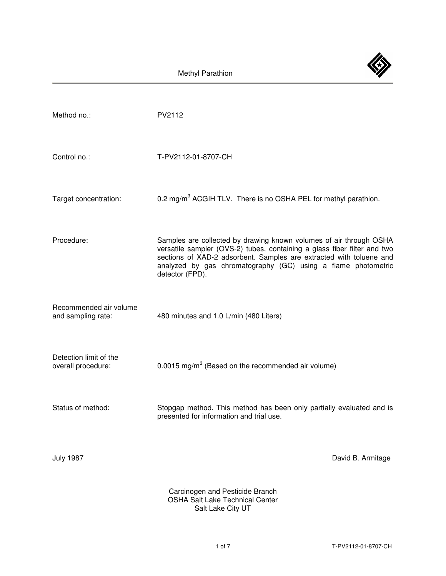Methyl Parathion

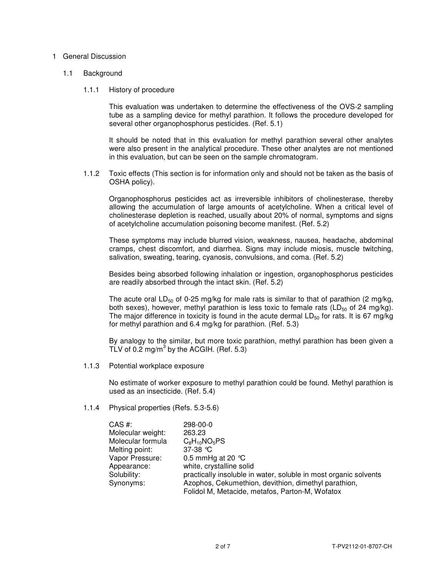# 1 General Discussion

#### 1.1 Background

#### 1.1.1 History of procedure

 This evaluation was undertaken to determine the effectiveness of the OVS-2 sampling tube as a sampling device for methyl parathion. It follows the procedure developed for several other organophosphorus pesticides. (Ref. 5.1)

 It should be noted that in this evaluation for methyl parathion several other analytes were also present in the analytical procedure. These other analytes are not mentioned in this evaluation, but can be seen on the sample chromatogram.

 1.1.2 Toxic effects (This section is for information only and should not be taken as the basis of OSHA policy).

 Organophosphorus pesticides act as irreversible inhibitors of cholinesterase, thereby allowing the accumulation of large amounts of acetylcholine. When a critical level of cholinesterase depletion is reached, usually about 20% of normal, symptoms and signs of acetylcholine accumulation poisoning become manifest. (Ref. 5.2)

 These symptoms may include blurred vision, weakness, nausea, headache, abdominal cramps, chest discomfort, and diarrhea. Signs may include miosis, muscle twitching, salivation, sweating, tearing, cyanosis, convulsions, and coma. (Ref. 5.2)

 Besides being absorbed following inhalation or ingestion, organophosphorus pesticides are readily absorbed through the intact skin. (Ref. 5.2)

The acute oral LD<sub>50</sub> of 0-25 mg/kg for male rats is similar to that of parathion (2 mg/kg, both sexes), however, methyl parathion is less toxic to female rats ( $LD_{50}$  of 24 mg/kg). The major difference in toxicity is found in the acute dermal  $LD_{50}$  for rats. It is 67 mg/kg for methyl parathion and 6.4 mg/kg for parathion. (Ref. 5.3)

 By analogy to the similar, but more toxic parathion, methyl parathion has been given a TLV of 0.2 mg/m<sup>3</sup> by the ACGIH. (Ref. 5.3)

1.1.3 Potential workplace exposure

 No estimate of worker exposure to methyl parathion could be found. Methyl parathion is used as an insecticide. (Ref. 5.4)

1.1.4 Physical properties (Refs. 5.3-5.6)

| $CAS$ #:          | 298-00-0                                                         |
|-------------------|------------------------------------------------------------------|
| Molecular weight: | 263.23                                                           |
| Molecular formula | $C_8H_{10}NO_5PS$                                                |
| Melting point:    | 37-38 °C                                                         |
| Vapor Pressure:   | 0.5 mmHg at 20 $^{\circ}$ C                                      |
| Appearance:       | white, crystalline solid                                         |
| Solubility:       | practically insoluble in water, soluble in most organic solvents |
| Synonyms:         | Azophos, Cekumethion, devithion, dimethyl parathion,             |
|                   | Folidol M, Metacide, metafos, Parton-M, Wofatox                  |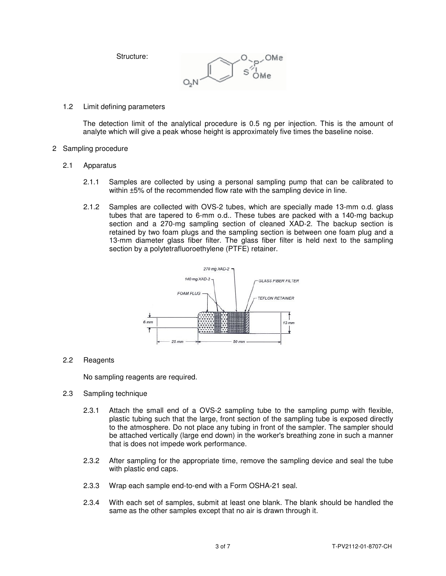Structure:



# 1.2 Limit defining parameters

 The detection limit of the analytical procedure is 0.5 ng per injection. This is the amount of analyte which will give a peak whose height is approximately five times the baseline noise.

## 2 Sampling procedure

- 2.1 Apparatus
	- 2.1.1 Samples are collected by using a personal sampling pump that can be calibrated to within  $\pm 5$ % of the recommended flow rate with the sampling device in line.
	- 2.1.2 Samples are collected with OVS-2 tubes, which are specially made 13-mm o.d. glass tubes that are tapered to 6-mm o.d.. These tubes are packed with a 140-mg backup section and a 270-mg sampling section of cleaned XAD-2. The backup section is retained by two foam plugs and the sampling section is between one foam plug and a 13-mm diameter glass fiber filter. The glass fiber filter is held next to the sampling section by a polytetrafluoroethylene (PTFE) retainer.



# 2.2 Reagents

No sampling reagents are required.

# 2.3 Sampling technique

- 2.3.1 Attach the small end of a OVS-2 sampling tube to the sampling pump with flexible, plastic tubing such that the large, front section of the sampling tube is exposed directly to the atmosphere. Do not place any tubing in front of the sampler. The sampler should be attached vertically (large end down) in the worker's breathing zone in such a manner that is does not impede work performance.
- 2.3.2 After sampling for the appropriate time, remove the sampling device and seal the tube with plastic end caps.
- 2.3.3 Wrap each sample end-to-end with a Form OSHA-21 seal.
- 2.3.4 With each set of samples, submit at least one blank. The blank should be handled the same as the other samples except that no air is drawn through it.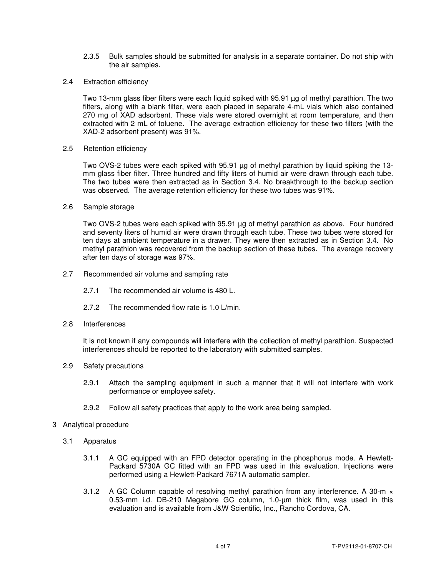- 2.3.5 Bulk samples should be submitted for analysis in a separate container. Do not ship with the air samples.
- 2.4 Extraction efficiency

 Two 13-mm glass fiber filters were each liquid spiked with 95.91 µg of methyl parathion. The two filters, along with a blank filter, were each placed in separate 4-mL vials which also contained 270 mg of XAD adsorbent. These vials were stored overnight at room temperature, and then extracted with 2 mL of toluene. The average extraction efficiency for these two filters (with the XAD-2 adsorbent present) was 91%.

2.5 Retention efficiency

 Two OVS-2 tubes were each spiked with 95.91 µg of methyl parathion by liquid spiking the 13 mm glass fiber filter. Three hundred and fifty liters of humid air were drawn through each tube. The two tubes were then extracted as in Section 3.4. No breakthrough to the backup section was observed. The average retention efficiency for these two tubes was 91%.

2.6 Sample storage

 Two OVS-2 tubes were each spiked with 95.91 µg of methyl parathion as above. Four hundred and seventy liters of humid air were drawn through each tube. These two tubes were stored for ten days at ambient temperature in a drawer. They were then extracted as in Section 3.4. No methyl parathion was recovered from the backup section of these tubes. The average recovery after ten days of storage was 97%.

- 2.7 Recommended air volume and sampling rate
	- 2.7.1 The recommended air volume is 480 L.
	- 2.7.2 The recommended flow rate is 1.0 L/min.
- 2.8 Interferences

It is not known if any compounds will interfere with the collection of methyl parathion. Suspected interferences should be reported to the laboratory with submitted samples.

- 2.9 Safety precautions
	- 2.9.1 Attach the sampling equipment in such a manner that it will not interfere with work performance or employee safety.
	- 2.9.2 Follow all safety practices that apply to the work area being sampled.
- 3 Analytical procedure
	- 3.1 Apparatus
		- 3.1.1 A GC equipped with an FPD detector operating in the phosphorus mode. A Hewlett-Packard 5730A GC fitted with an FPD was used in this evaluation. Injections were performed using a Hewlett-Packard 7671A automatic sampler.
		- 3.1.2 A GC Column capable of resolving methyl parathion from any interference. A 30-m  $\times$ 0.53-mm i.d. DB-210 Megabore GC column, 1.0-µm thick film, was used in this evaluation and is available from J&W Scientific, Inc., Rancho Cordova, CA.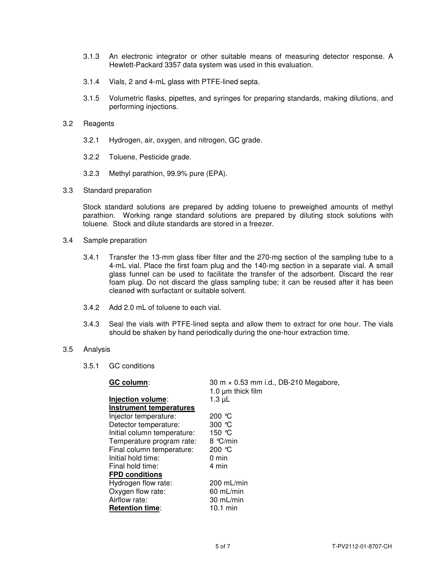- 3.1.3 An electronic integrator or other suitable means of measuring detector response. A Hewlett-Packard 3357 data system was used in this evaluation.
- 3.1.4 Vials, 2 and 4-mL glass with PTFE-lined septa.
- 3.1.5 Volumetric flasks, pipettes, and syringes for preparing standards, making dilutions, and performing injections.
- 3.2 Reagents
	- 3.2.1 Hydrogen, air, oxygen, and nitrogen, GC grade.
	- 3.2.2 Toluene, Pesticide grade.
	- 3.2.3 Methyl parathion, 99.9% pure (EPA).
- 3.3 Standard preparation

 Stock standard solutions are prepared by adding toluene to preweighed amounts of methyl parathion. Working range standard solutions are prepared by diluting stock solutions with toluene. Stock and dilute standards are stored in a freezer.

- 3.4 Sample preparation
	- 3.4.1 Transfer the 13-mm glass fiber filter and the 270-mg section of the sampling tube to a 4-mL vial. Place the first foam plug and the 140-mg section in a separate vial. A small glass funnel can be used to facilitate the transfer of the adsorbent. Discard the rear foam plug. Do not discard the glass sampling tube; it can be reused after it has been cleaned with surfactant or suitable solvent.
	- 3.4.2 Add 2.0 mL of toluene to each vial.
	- 3.4.3 Seal the vials with PTFE-lined septa and allow them to extract for one hour. The vials should be shaken by hand periodically during the one-hour extraction time.
- 3.5 Analysis
	- 3.5.1 GC conditions

| GC column:                  | 30 m × 0.53 mm i.d., DB-210 Megabore,<br>1.0 $\mu$ m thick film |
|-----------------------------|-----------------------------------------------------------------|
| Injection volume:           | $1.3 \mu L$                                                     |
| Instrument temperatures     |                                                                 |
| Injector temperature:       | 200 °C                                                          |
| Detector temperature:       | 300 $\degree$ C                                                 |
| Initial column temperature: | 150 $\degree$ C                                                 |
| Temperature program rate:   | 8 °C/min                                                        |
| Final column temperature:   | 200 $\degree$ C                                                 |
| Initial hold time:          | $0 \text{ min}$                                                 |
| Final hold time:            | 4 min                                                           |
| <b>FPD conditions</b>       |                                                                 |
| Hydrogen flow rate:         | $200$ mL/min                                                    |
| Oxygen flow rate:           | $60$ mL/min                                                     |
| Airflow rate:               | 30 mL/min                                                       |
| <b>Retention time:</b>      | $10.1$ min                                                      |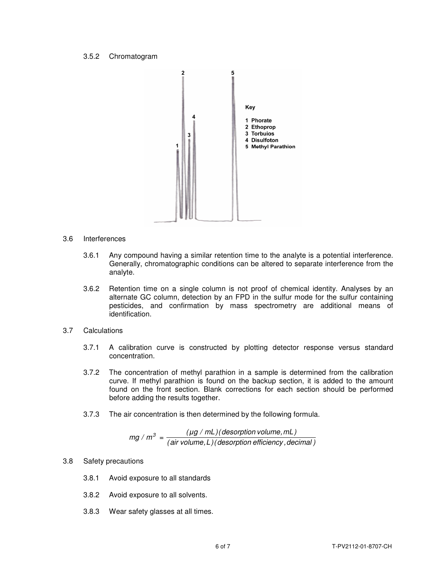#### 3.5.2 Chromatogram



- 3.6 Interferences
	- 3.6.1 Any compound having a similar retention time to the analyte is a potential interference. Generally, chromatographic conditions can be altered to separate interference from the analyte.
	- 3.6.2 Retention time on a single column is not proof of chemical identity. Analyses by an alternate GC column, detection by an FPD in the sulfur mode for the sulfur containing pesticides, and confirmation by mass spectrometry are additional means of identification.
- 3.7 Calculations
	- 3.7.1 A calibration curve is constructed by plotting detector response versus standard concentration.
	- 3.7.2 The concentration of methyl parathion in a sample is determined from the calibration curve. If methyl parathion is found on the backup section, it is added to the amount found on the front section. Blank corrections for each section should be performed before adding the results together.
	- 3.7.3 The air concentration is then determined by the following formula.

 $(air volume, L)$  (desorption efficiency, decimal)  $mg/m^3 = \frac{(\mu g/mL)(\text{desorption volume}, mL)}{(\text{dissolution of friction gas})}$ 

#### 3.8 Safety precautions

- 3.8.1 Avoid exposure to all standards
- 3.8.2 Avoid exposure to all solvents.
- 3.8.3 Wear safety glasses at all times.